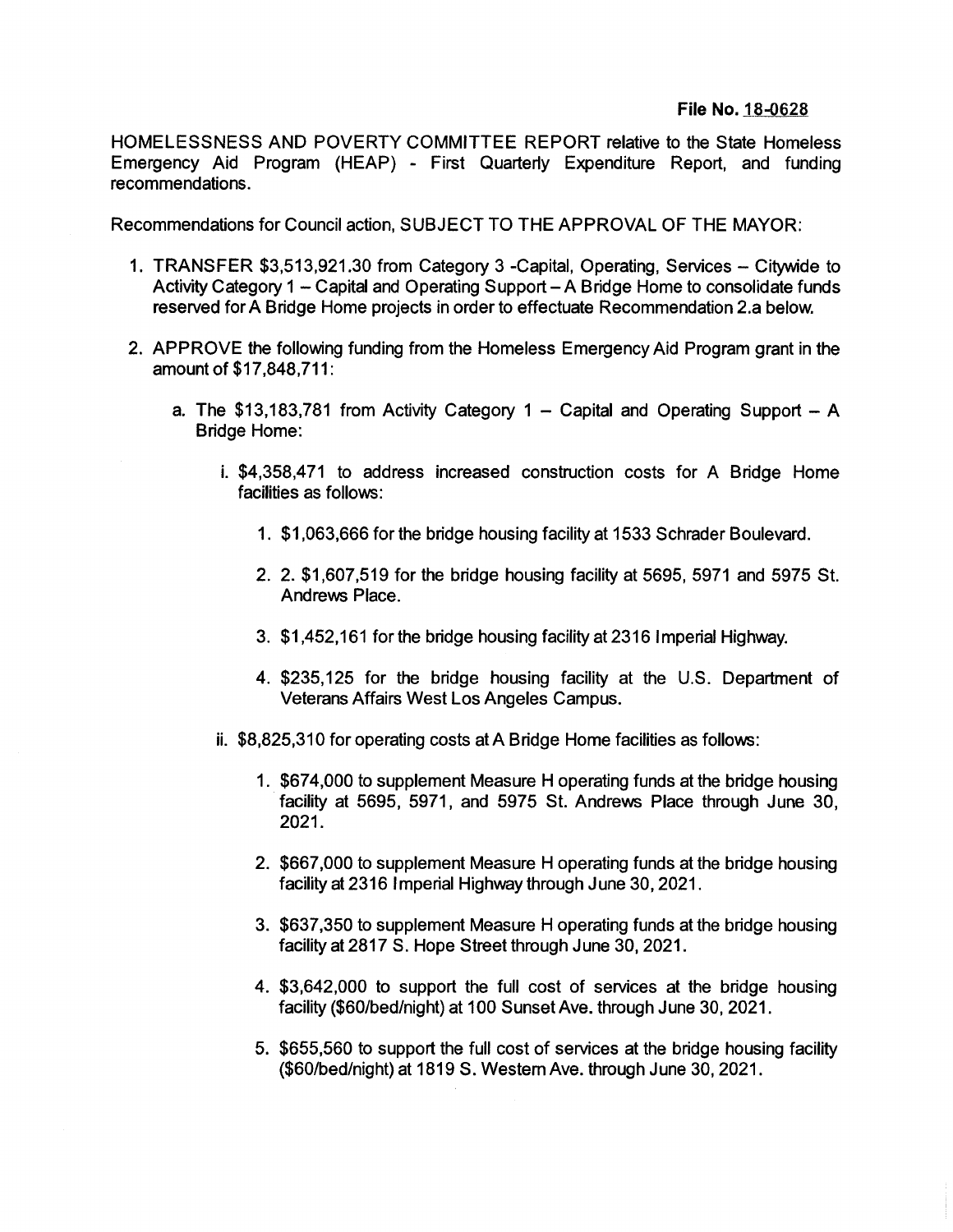## **File No. 18-0628**

HOMELESSNESS AND POVERTY COMMITTEE REPORT relative to the State Homeless Emergency Aid Program (HEAP) - First Quarterly Expenditure Report, and funding recommendations.

Recommendations for Council action, SUBJECT TO THE APPROVAL OF THE MAYOR:

- 1. TRANSFER \$3,513,921.30 from Category 3 -Capital, Operating, Services Citywide to Activity Category  $1 -$  Capital and Operating Support  $- A B$  ridge Home to consolidate funds reserved forA Bridge Home projects in order to effectuate Recommendation 2.a below.
- **2.** APPROVE the following funding from the Homeless Emergency Aid Program grant in the amount of \$17,848,711:
	- a. The \$13,183,781 from Activity Category  $1 -$  Capital and Operating Support  $A$ Bridge Home:
		- i. \$4,358,471 to address increased construction costs for A Bridge Home facilities as follows:
			- **1.** \$1,063,666 for the bridge housing facility at 1533 Schrader Boulevard.
			- 2. \$1,607,519 for the bridge housing facility at 5695, 5971 and 5975 St. **2.** Andrews Place.
			- 3. \$1,452,161 for the bridge housing facility at 2316 Imperial Highway.
			- 4. \$235,125 for the bridge housing facility at the U.S. Department of Veterans Affairs West Los Angeles Campus.
		- ii. \$8,825,310 for operating costs at A Bridge Home facilities as follows:
			- 1. \$674,000 to supplement Measure H operating funds at the bridge housing facility at 5695, 5971, and 5975 St. Andrews Place through June 30, **2021.**
			- \$667,000 to supplement Measure H operating funds at the bridge housing **2.** facility at 2316 Imperial Highway through June 30,2021.
			- 3. \$637,350 to supplement Measure H operating funds at the bridge housing facility at 2817 S. Hope Street through June 30,2021.
			- 4. \$3,642,000 to support the full cost of services at the bridge housing facility (\$60/bed/night) at 100 Sunset Ave. through June 30,2021.
			- 5. \$655,560 to support the full cost of services at the bridge housing facility (\$60/bed/night) at 1819 S. Western Ave. through June 30,2021.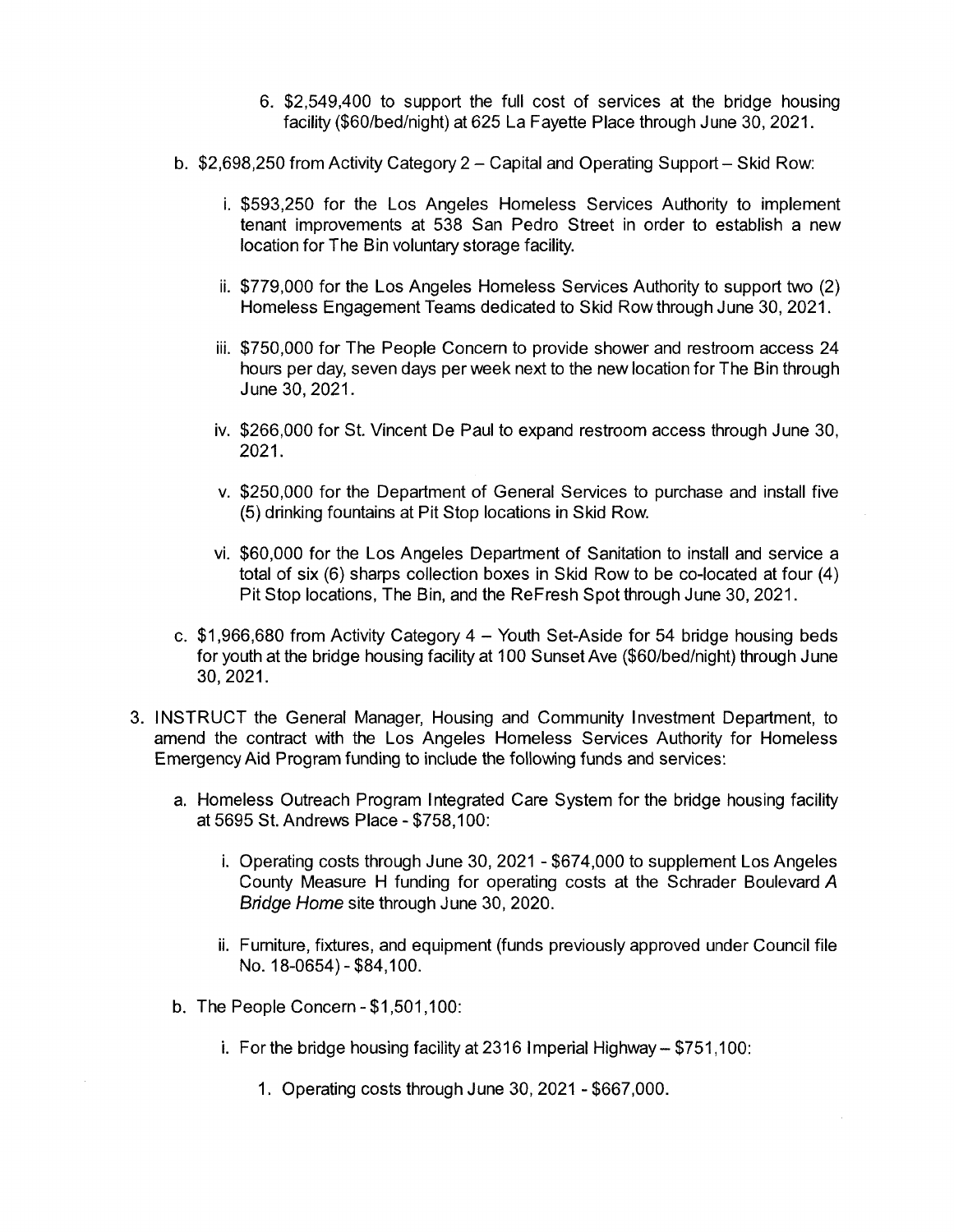- 6. \$2,549,400 to support the full cost of services at the bridge housing facility (\$60/bed/night) at 625 La Fayette Place through June 30, 2021.
- b. \$2,698,250 from Activity Category 2 Capital and Operating Support Skid Row:
	- \$593,250 for the Los Angeles Homeless Services Authority to implement **i.** tenant improvements at 538 San Pedro Street in order to establish a new location for The Bin voluntary storage facility.
	- \$779,000 for the Los Angeles Homeless Services Authority to support two (2) **ii.** Homeless Engagement Teams dedicated to Skid Row through June 30, 2021.
	- iii. \$750,000 for The People Concern to provide shower and restroom access 24 hours per day, seven days per week next to the new location for The Bin through June 30,2021.
	- iv. \$266,000 for St. Vincent De Paul to expand restroom access through June 30, 2021**.**
	- v. \$250,000 for the Department of General Services to purchase and install five (5) drinking fountains at Pit Stop locations in Skid Row.
	- \$60,000 for the Los Angeles Department of Sanitation to install and service a **VI.** total of six (6) sharps collection boxes in Skid Row to be co-located at four (4) Pit Stop locations, The Bin, and the ReFresh Spot through June 30, 2021.
- c. \$1,966,680 from Activity Category <sup>4</sup> Youth Set-Aside for <sup>54</sup> bridge housing beds for youth at the bridge housing facility at 100 Sunset Ave (\$60/bed/night) through June 30,2021.
- 3. INSTRUCT the General Manager, Housing and Community Investment Department, to amend the contract with the Los Angeles Homeless Services Authority for Homeless Emergency Aid Program funding to include the following funds and services:
	- a. Homeless Outreach Program Integrated Care System for the bridge housing facility at 5695 St. Andrews Place - \$758,100:
		- i. Operating costs through June 30, 2021 \$674,000 to supplement Los Angeles County Measure H funding for operating costs at the Schrader Boulevard *A Bridge Home* site through June 30, 2020.
		- ii. Furniture, fixtures, and equipment (funds previously approved under Council file No. 18-0654)-\$84,100.
	- b. The People Concern-\$1,501,100:
		- i. For the bridge housing facility at 2316 Imperial Highway \$751,100:
			- 1. Operating costs through June 30, 2021 \$667,000.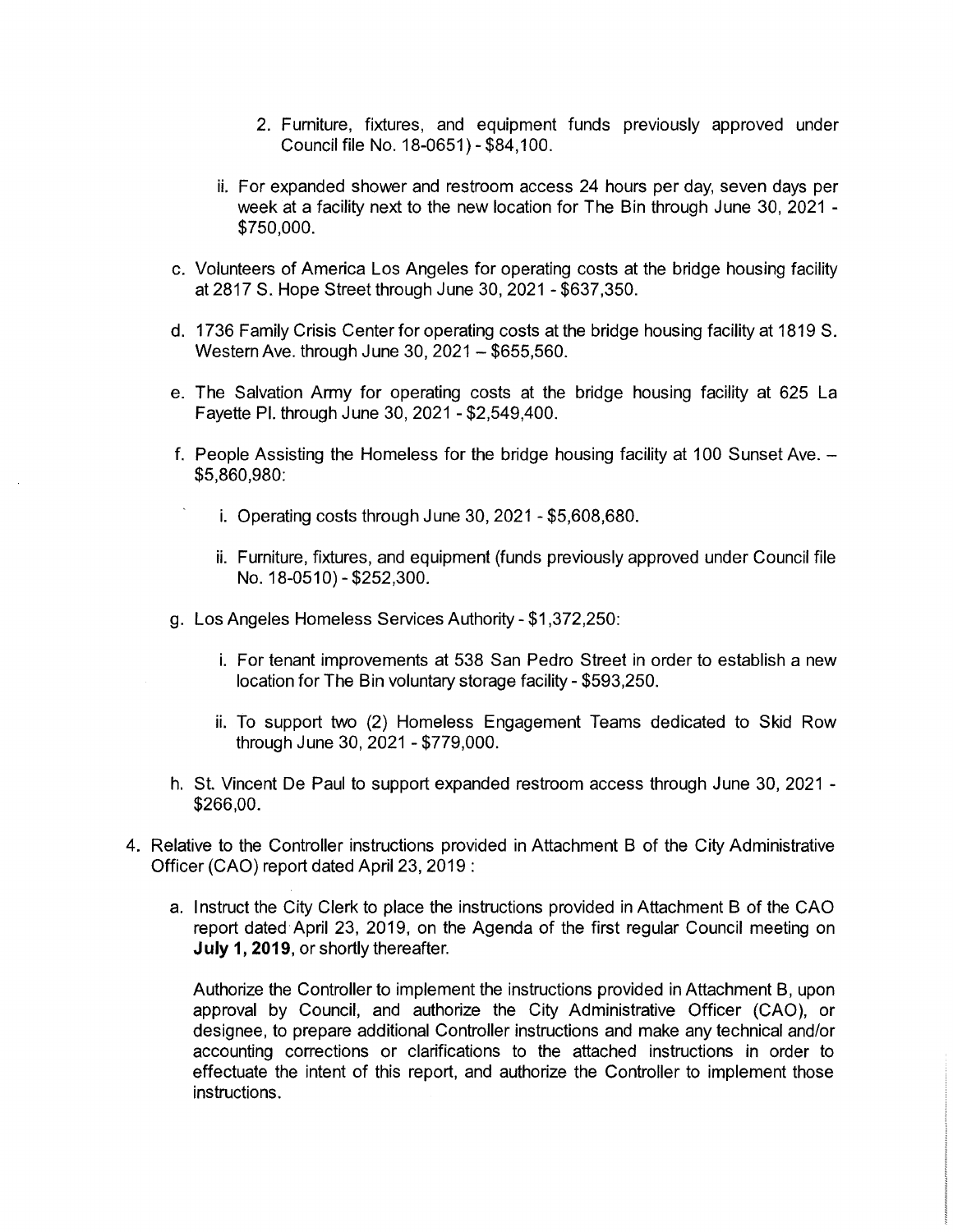- 2. Furniture, fixtures, and equipment funds previously approved under Council file No. 18-0651) - \$84,100.
- ii. For expanded shower and restroom access 24 hours per day, seven days per week at a facility next to the new location for The Bin through June 30, 2021 - \$750,000.
- c. Volunteers of America Los Angeles for operating costs at the bridge housing facility at 2817 S. Hope Street through June 30, 2021 -\$637,350.
- d. 1736 Family Crisis Center for operating costs at the bridge housing facility at 1819 S. Western Ave. through June 30, 2021 - \$655,560.
- e. The Salvation Army for operating costs at the bridge housing facility at 625 La Fayette PI. through June 30, 2021 - \$2,549,400.
- f. People Assisting the Homeless for the bridge housing facility at 100 Sunset Ave. -\$5,860,980:
	- i. Operating costs through June 30, 2021 \$5,608,680.
	- ii. Furniture, fixtures, and equipment (funds previously approved under Council file No. 18-0510)-\$252,300.
- g. Los Angeles Homeless Services Authority \$1,372,250:
	- i. For tenant improvements at 538 San Pedro Street in order to establish a new location for The Bin voluntary storage facility - \$593,250.
	- ii. To support two (2) Homeless Engagement Teams dedicated to Skid Row through June 30, 2021 - \$779,000.
- h. St. Vincent De Paul to support expanded restroom access through June 30, 2021 \$266,00.
- 4. Relative to the Controller instructions provided in Attachment B of the City Administrative Officer (CAO) report dated April 23,2019 :
	- a. Instruct the City Clerk to place the instructions provided in Attachment B of the CAO report dated April 23, 2019, on the Agenda of the first regular Council meeting on **July 1,2019,** or shortly thereafter.

Authorize the Controller to implement the instructions provided in Attachment B, upon approval by Council, and authorize the City Administrative Officer (CAO), or designee, to prepare additional Controller instructions and make any technical and/or accounting corrections or clarifications to the attached instructions in order to effectuate the intent of this report, and authorize the Controller to implement those instructions.